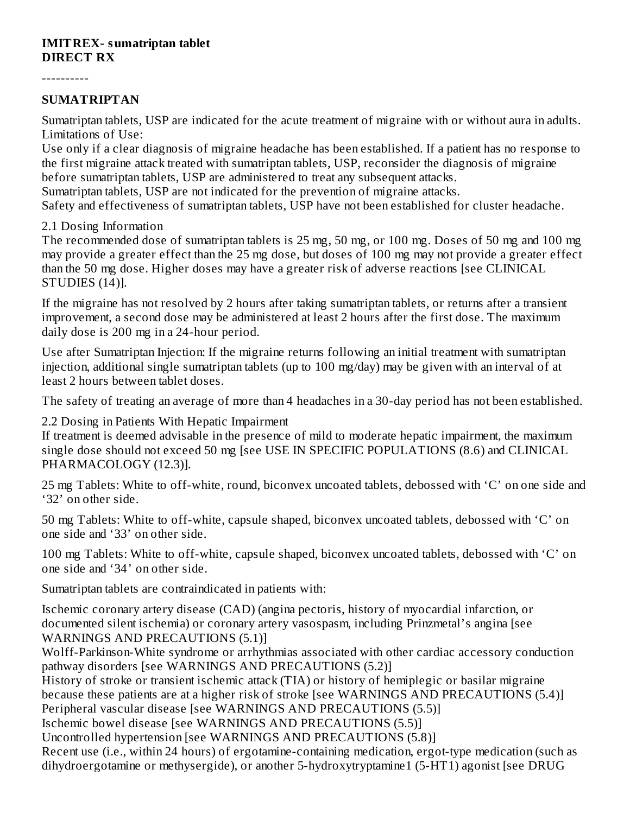#### **IMITREX- sumatriptan tablet DIRECT RX**

----------

#### **SUMATRIPTAN**

Sumatriptan tablets, USP are indicated for the acute treatment of migraine with or without aura in adults. Limitations of Use:

Use only if a clear diagnosis of migraine headache has been established. If a patient has no response to the first migraine attack treated with sumatriptan tablets, USP, reconsider the diagnosis of migraine before sumatriptan tablets, USP are administered to treat any subsequent attacks.

Sumatriptan tablets, USP are not indicated for the prevention of migraine attacks.

Safety and effectiveness of sumatriptan tablets, USP have not been established for cluster headache.

#### 2.1 Dosing Information

The recommended dose of sumatriptan tablets is 25 mg, 50 mg, or 100 mg. Doses of 50 mg and 100 mg may provide a greater effect than the 25 mg dose, but doses of 100 mg may not provide a greater effect than the 50 mg dose. Higher doses may have a greater risk of adverse reactions [see CLINICAL STUDIES (14)].

If the migraine has not resolved by 2 hours after taking sumatriptan tablets, or returns after a transient improvement, a second dose may be administered at least 2 hours after the first dose. The maximum daily dose is 200 mg in a 24-hour period.

Use after Sumatriptan Injection: If the migraine returns following an initial treatment with sumatriptan injection, additional single sumatriptan tablets (up to 100 mg/day) may be given with an interval of at least 2 hours between tablet doses.

The safety of treating an average of more than 4 headaches in a 30-day period has not been established.

2.2 Dosing in Patients With Hepatic Impairment

If treatment is deemed advisable in the presence of mild to moderate hepatic impairment, the maximum single dose should not exceed 50 mg [see USE IN SPECIFIC POPULATIONS (8.6) and CLINICAL PHARMACOLOGY (12.3)].

25 mg Tablets: White to off-white, round, biconvex uncoated tablets, debossed with 'C' on one side and '32' on other side.

50 mg Tablets: White to off-white, capsule shaped, biconvex uncoated tablets, debossed with 'C' on one side and '33' on other side.

100 mg Tablets: White to off-white, capsule shaped, biconvex uncoated tablets, debossed with 'C' on one side and '34' on other side.

Sumatriptan tablets are contraindicated in patients with:

Ischemic coronary artery disease (CAD) (angina pectoris, history of myocardial infarction, or documented silent ischemia) or coronary artery vasospasm, including Prinzmetal's angina [see WARNINGS AND PRECAUTIONS (5.1)]

Wolff-Parkinson-White syndrome or arrhythmias associated with other cardiac accessory conduction pathway disorders [see WARNINGS AND PRECAUTIONS (5.2)]

History of stroke or transient ischemic attack (TIA) or history of hemiplegic or basilar migraine because these patients are at a higher risk of stroke [see WARNINGS AND PRECAUTIONS (5.4)] Peripheral vascular disease [see WARNINGS AND PRECAUTIONS (5.5)]

Ischemic bowel disease [see WARNINGS AND PRECAUTIONS (5.5)]

Uncontrolled hypertension [see WARNINGS AND PRECAUTIONS (5.8)]

Recent use (i.e., within 24 hours) of ergotamine-containing medication, ergot-type medication (such as dihydroergotamine or methysergide), or another 5-hydroxytryptamine1 (5-HT1) agonist [see DRUG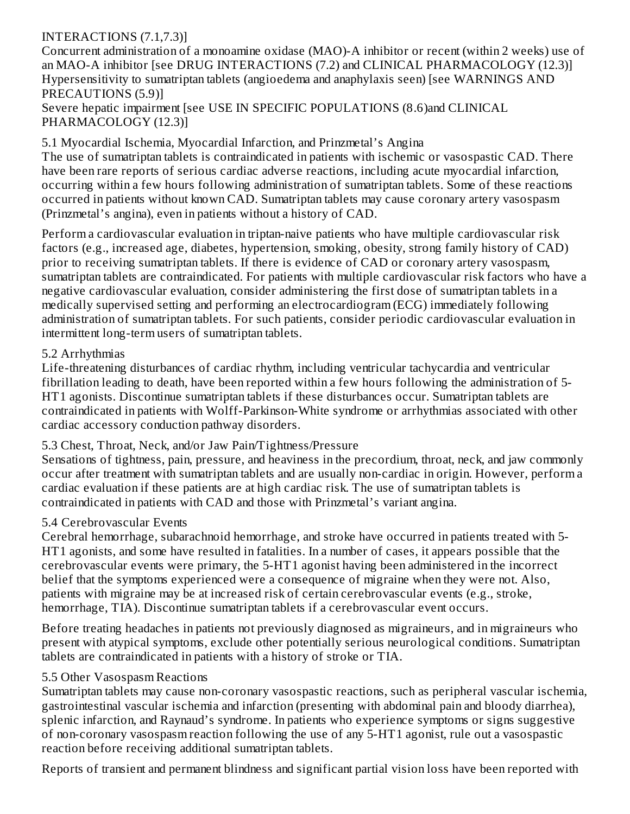## INTERACTIONS (7.1,7.3)]

Concurrent administration of a monoamine oxidase (MAO)-A inhibitor or recent (within 2 weeks) use of an MAO-A inhibitor [see DRUG INTERACTIONS (7.2) and CLINICAL PHARMACOLOGY (12.3)] Hypersensitivity to sumatriptan tablets (angioedema and anaphylaxis seen) [see WARNINGS AND PRECAUTIONS (5.9)]

Severe hepatic impairment [see USE IN SPECIFIC POPULATIONS (8.6)and CLINICAL PHARMACOLOGY (12.3)]

5.1 Myocardial Ischemia, Myocardial Infarction, and Prinzmetal's Angina

The use of sumatriptan tablets is contraindicated in patients with ischemic or vasospastic CAD. There have been rare reports of serious cardiac adverse reactions, including acute myocardial infarction, occurring within a few hours following administration of sumatriptan tablets. Some of these reactions occurred in patients without known CAD. Sumatriptan tablets may cause coronary artery vasospasm (Prinzmetal's angina), even in patients without a history of CAD.

Perform a cardiovascular evaluation in triptan-naive patients who have multiple cardiovascular risk factors (e.g., increased age, diabetes, hypertension, smoking, obesity, strong family history of CAD) prior to receiving sumatriptan tablets. If there is evidence of CAD or coronary artery vasospasm, sumatriptan tablets are contraindicated. For patients with multiple cardiovascular risk factors who have a negative cardiovascular evaluation, consider administering the first dose of sumatriptan tablets in a medically supervised setting and performing an electrocardiogram (ECG) immediately following administration of sumatriptan tablets. For such patients, consider periodic cardiovascular evaluation in intermittent long-term users of sumatriptan tablets.

### 5.2 Arrhythmias

Life-threatening disturbances of cardiac rhythm, including ventricular tachycardia and ventricular fibrillation leading to death, have been reported within a few hours following the administration of 5- HT1 agonists. Discontinue sumatriptan tablets if these disturbances occur. Sumatriptan tablets are contraindicated in patients with Wolff-Parkinson-White syndrome or arrhythmias associated with other cardiac accessory conduction pathway disorders.

### 5.3 Chest, Throat, Neck, and/or Jaw Pain/Tightness/Pressure

Sensations of tightness, pain, pressure, and heaviness in the precordium, throat, neck, and jaw commonly occur after treatment with sumatriptan tablets and are usually non-cardiac in origin. However, perform a cardiac evaluation if these patients are at high cardiac risk. The use of sumatriptan tablets is contraindicated in patients with CAD and those with Prinzmetal's variant angina.

### 5.4 Cerebrovascular Events

Cerebral hemorrhage, subarachnoid hemorrhage, and stroke have occurred in patients treated with 5- HT1 agonists, and some have resulted in fatalities. In a number of cases, it appears possible that the cerebrovascular events were primary, the 5-HT1 agonist having been administered in the incorrect belief that the symptoms experienced were a consequence of migraine when they were not. Also, patients with migraine may be at increased risk of certain cerebrovascular events (e.g., stroke, hemorrhage, TIA). Discontinue sumatriptan tablets if a cerebrovascular event occurs.

Before treating headaches in patients not previously diagnosed as migraineurs, and in migraineurs who present with atypical symptoms, exclude other potentially serious neurological conditions. Sumatriptan tablets are contraindicated in patients with a history of stroke or TIA.

### 5.5 Other Vasospasm Reactions

Sumatriptan tablets may cause non-coronary vasospastic reactions, such as peripheral vascular ischemia, gastrointestinal vascular ischemia and infarction (presenting with abdominal pain and bloody diarrhea), splenic infarction, and Raynaud's syndrome. In patients who experience symptoms or signs suggestive of non-coronary vasospasm reaction following the use of any 5-HT1 agonist, rule out a vasospastic reaction before receiving additional sumatriptan tablets.

Reports of transient and permanent blindness and significant partial vision loss have been reported with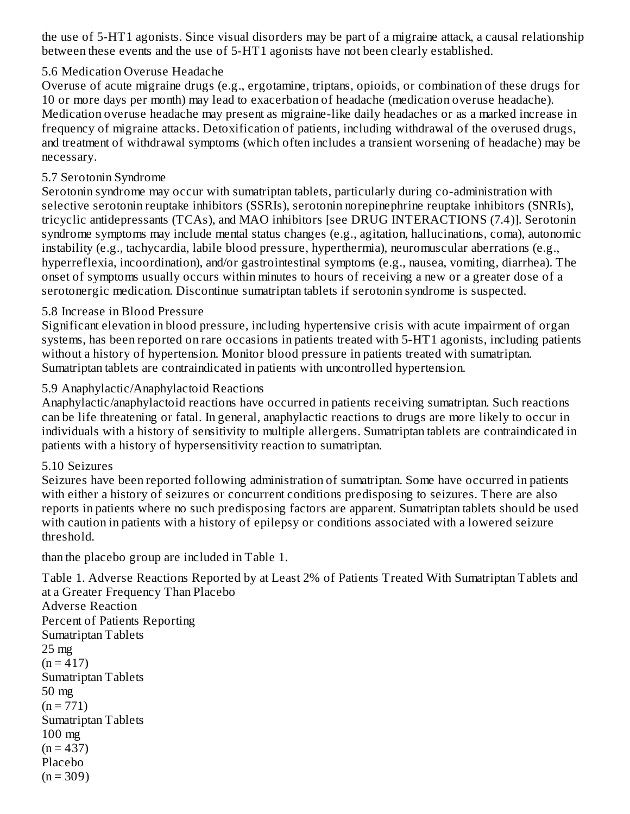the use of 5-HT1 agonists. Since visual disorders may be part of a migraine attack, a causal relationship between these events and the use of 5-HT1 agonists have not been clearly established.

### 5.6 Medication Overuse Headache

Overuse of acute migraine drugs (e.g., ergotamine, triptans, opioids, or combination of these drugs for 10 or more days per month) may lead to exacerbation of headache (medication overuse headache). Medication overuse headache may present as migraine-like daily headaches or as a marked increase in frequency of migraine attacks. Detoxification of patients, including withdrawal of the overused drugs, and treatment of withdrawal symptoms (which often includes a transient worsening of headache) may be necessary.

### 5.7 Serotonin Syndrome

Serotonin syndrome may occur with sumatriptan tablets, particularly during co-administration with selective serotonin reuptake inhibitors (SSRIs), serotonin norepinephrine reuptake inhibitors (SNRIs), tricyclic antidepressants (TCAs), and MAO inhibitors [see DRUG INTERACTIONS (7.4)]. Serotonin syndrome symptoms may include mental status changes (e.g., agitation, hallucinations, coma), autonomic instability (e.g., tachycardia, labile blood pressure, hyperthermia), neuromuscular aberrations (e.g., hyperreflexia, incoordination), and/or gastrointestinal symptoms (e.g., nausea, vomiting, diarrhea). The onset of symptoms usually occurs within minutes to hours of receiving a new or a greater dose of a serotonergic medication. Discontinue sumatriptan tablets if serotonin syndrome is suspected.

### 5.8 Increase in Blood Pressure

Significant elevation in blood pressure, including hypertensive crisis with acute impairment of organ systems, has been reported on rare occasions in patients treated with 5-HT1 agonists, including patients without a history of hypertension. Monitor blood pressure in patients treated with sumatriptan. Sumatriptan tablets are contraindicated in patients with uncontrolled hypertension.

## 5.9 Anaphylactic/Anaphylactoid Reactions

Anaphylactic/anaphylactoid reactions have occurred in patients receiving sumatriptan. Such reactions can be life threatening or fatal. In general, anaphylactic reactions to drugs are more likely to occur in individuals with a history of sensitivity to multiple allergens. Sumatriptan tablets are contraindicated in patients with a history of hypersensitivity reaction to sumatriptan.

### 5.10 Seizures

Placebo  $(n = 309)$ 

Seizures have been reported following administration of sumatriptan. Some have occurred in patients with either a history of seizures or concurrent conditions predisposing to seizures. There are also reports in patients where no such predisposing factors are apparent. Sumatriptan tablets should be used with caution in patients with a history of epilepsy or conditions associated with a lowered seizure threshold.

than the placebo group are included in Table 1.

Table 1. Adverse Reactions Reported by at Least 2% of Patients Treated With Sumatriptan Tablets and at a Greater Frequency Than Placebo Adverse Reaction Percent of Patients Reporting Sumatriptan Tablets 25 mg  $(n = 417)$ Sumatriptan Tablets 50 mg  $(n = 771)$ Sumatriptan Tablets 100 mg  $(n = 437)$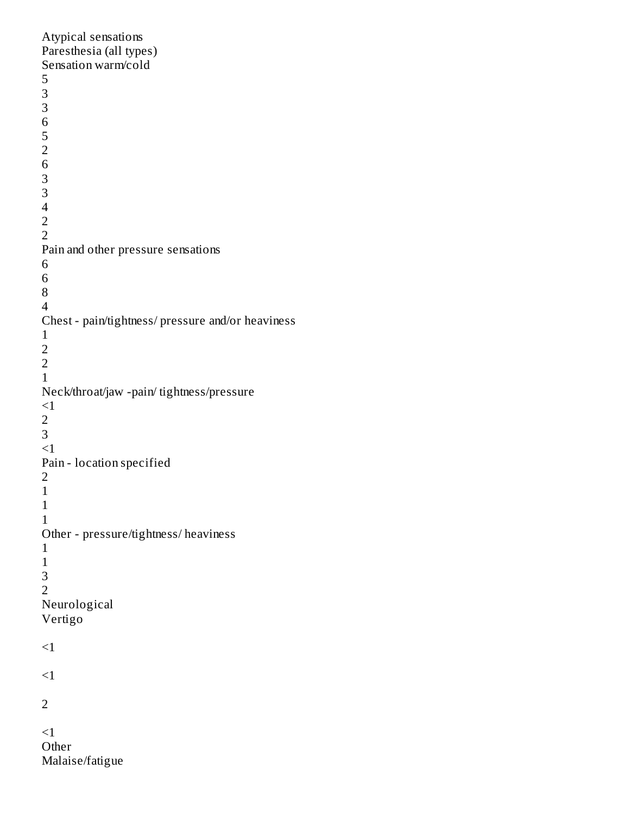### Atypical sensations Paresthesia (all types) Sensation warm/cold Pain and other pressure sensations Chest - pain/tightness/ pressure and/or heaviness Neck/throat/jaw -pain/ tightness/pressure  $<$ 1  $<1$ Pain - location specified Other - pressure/tightness/ heaviness Neurological Vertigo  ${<}1$  $\leq$ 1  $<1$ Other Malaise/fatigue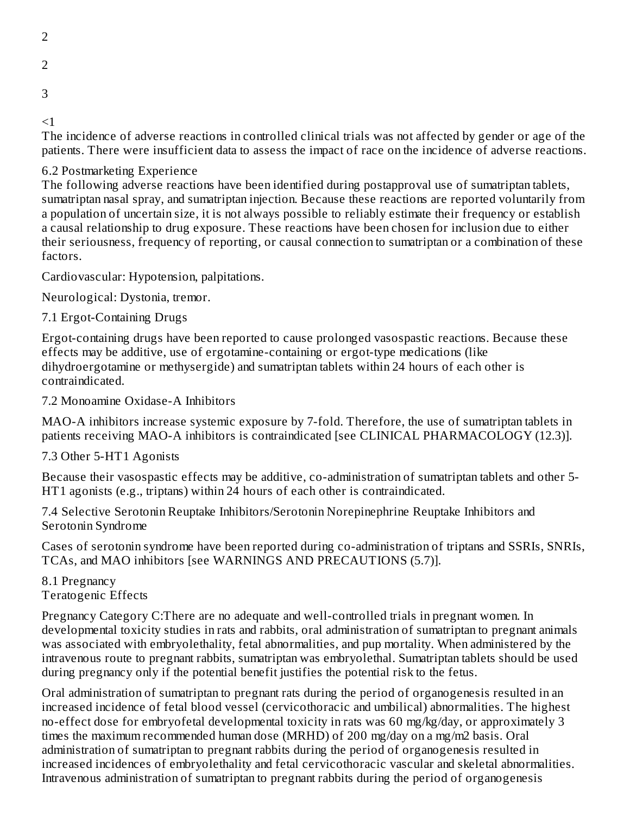2

- 
- 2
- 3

 $\leq$  1

The incidence of adverse reactions in controlled clinical trials was not affected by gender or age of the patients. There were insufficient data to assess the impact of race on the incidence of adverse reactions.

## 6.2 Postmarketing Experience

The following adverse reactions have been identified during postapproval use of sumatriptan tablets, sumatriptan nasal spray, and sumatriptan injection. Because these reactions are reported voluntarily from a population of uncertain size, it is not always possible to reliably estimate their frequency or establish a causal relationship to drug exposure. These reactions have been chosen for inclusion due to either their seriousness, frequency of reporting, or causal connection to sumatriptan or a combination of these factors.

Cardiovascular: Hypotension, palpitations.

Neurological: Dystonia, tremor.

7.1 Ergot-Containing Drugs

Ergot-containing drugs have been reported to cause prolonged vasospastic reactions. Because these effects may be additive, use of ergotamine-containing or ergot-type medications (like dihydroergotamine or methysergide) and sumatriptan tablets within 24 hours of each other is contraindicated.

7.2 Monoamine Oxidase-A Inhibitors

MAO-A inhibitors increase systemic exposure by 7-fold. Therefore, the use of sumatriptan tablets in patients receiving MAO-A inhibitors is contraindicated [see CLINICAL PHARMACOLOGY (12.3)].

## 7.3 Other 5-HT1 Agonists

Because their vasospastic effects may be additive, co-administration of sumatriptan tablets and other 5- HT1 agonists (e.g., triptans) within 24 hours of each other is contraindicated.

7.4 Selective Serotonin Reuptake Inhibitors/Serotonin Norepinephrine Reuptake Inhibitors and Serotonin Syndrome

Cases of serotonin syndrome have been reported during co-administration of triptans and SSRIs, SNRIs, TCAs, and MAO inhibitors [see WARNINGS AND PRECAUTIONS (5.7)].

8.1 Pregnancy Teratogenic Effects

Pregnancy Category C:There are no adequate and well-controlled trials in pregnant women. In developmental toxicity studies in rats and rabbits, oral administration of sumatriptan to pregnant animals was associated with embryolethality, fetal abnormalities, and pup mortality. When administered by the intravenous route to pregnant rabbits, sumatriptan was embryolethal. Sumatriptan tablets should be used during pregnancy only if the potential benefit justifies the potential risk to the fetus.

Oral administration of sumatriptan to pregnant rats during the period of organogenesis resulted in an increased incidence of fetal blood vessel (cervicothoracic and umbilical) abnormalities. The highest no-effect dose for embryofetal developmental toxicity in rats was 60 mg/kg/day, or approximately 3 times the maximum recommended human dose (MRHD) of 200 mg/day on a mg/m2 basis. Oral administration of sumatriptan to pregnant rabbits during the period of organogenesis resulted in increased incidences of embryolethality and fetal cervicothoracic vascular and skeletal abnormalities. Intravenous administration of sumatriptan to pregnant rabbits during the period of organogenesis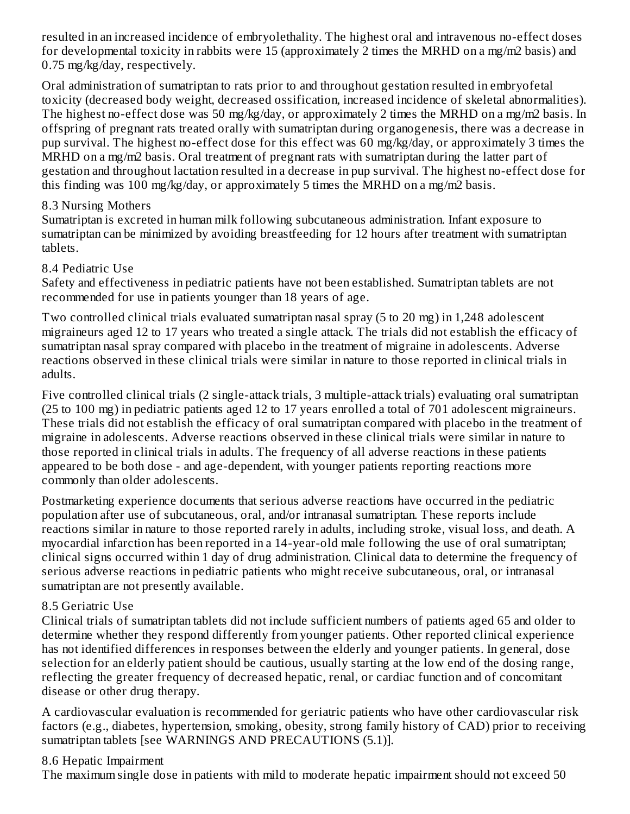resulted in an increased incidence of embryolethality. The highest oral and intravenous no-effect doses for developmental toxicity in rabbits were 15 (approximately 2 times the MRHD on a mg/m2 basis) and 0.75 mg/kg/day, respectively.

Oral administration of sumatriptan to rats prior to and throughout gestation resulted in embryofetal toxicity (decreased body weight, decreased ossification, increased incidence of skeletal abnormalities). The highest no-effect dose was 50 mg/kg/day, or approximately 2 times the MRHD on a mg/m2 basis. In offspring of pregnant rats treated orally with sumatriptan during organogenesis, there was a decrease in pup survival. The highest no-effect dose for this effect was 60 mg/kg/day, or approximately 3 times the MRHD on a mg/m2 basis. Oral treatment of pregnant rats with sumatriptan during the latter part of gestation and throughout lactation resulted in a decrease in pup survival. The highest no-effect dose for this finding was 100 mg/kg/day, or approximately 5 times the MRHD on a mg/m2 basis.

### 8.3 Nursing Mothers

Sumatriptan is excreted in human milk following subcutaneous administration. Infant exposure to sumatriptan can be minimized by avoiding breastfeeding for 12 hours after treatment with sumatriptan tablets.

## 8.4 Pediatric Use

Safety and effectiveness in pediatric patients have not been established. Sumatriptan tablets are not recommended for use in patients younger than 18 years of age.

Two controlled clinical trials evaluated sumatriptan nasal spray (5 to 20 mg) in 1,248 adolescent migraineurs aged 12 to 17 years who treated a single attack. The trials did not establish the efficacy of sumatriptan nasal spray compared with placebo in the treatment of migraine in adolescents. Adverse reactions observed in these clinical trials were similar in nature to those reported in clinical trials in adults.

Five controlled clinical trials (2 single-attack trials, 3 multiple-attack trials) evaluating oral sumatriptan (25 to 100 mg) in pediatric patients aged 12 to 17 years enrolled a total of 701 adolescent migraineurs. These trials did not establish the efficacy of oral sumatriptan compared with placebo in the treatment of migraine in adolescents. Adverse reactions observed in these clinical trials were similar in nature to those reported in clinical trials in adults. The frequency of all adverse reactions in these patients appeared to be both dose - and age-dependent, with younger patients reporting reactions more commonly than older adolescents.

Postmarketing experience documents that serious adverse reactions have occurred in the pediatric population after use of subcutaneous, oral, and/or intranasal sumatriptan. These reports include reactions similar in nature to those reported rarely in adults, including stroke, visual loss, and death. A myocardial infarction has been reported in a 14-year-old male following the use of oral sumatriptan; clinical signs occurred within 1 day of drug administration. Clinical data to determine the frequency of serious adverse reactions in pediatric patients who might receive subcutaneous, oral, or intranasal sumatriptan are not presently available.

## 8.5 Geriatric Use

Clinical trials of sumatriptan tablets did not include sufficient numbers of patients aged 65 and older to determine whether they respond differently from younger patients. Other reported clinical experience has not identified differences in responses between the elderly and younger patients. In general, dose selection for an elderly patient should be cautious, usually starting at the low end of the dosing range, reflecting the greater frequency of decreased hepatic, renal, or cardiac function and of concomitant disease or other drug therapy.

A cardiovascular evaluation is recommended for geriatric patients who have other cardiovascular risk factors (e.g., diabetes, hypertension, smoking, obesity, strong family history of CAD) prior to receiving sumatriptan tablets [see WARNINGS AND PRECAUTIONS (5.1)].

## 8.6 Hepatic Impairment

The maximum single dose in patients with mild to moderate hepatic impairment should not exceed 50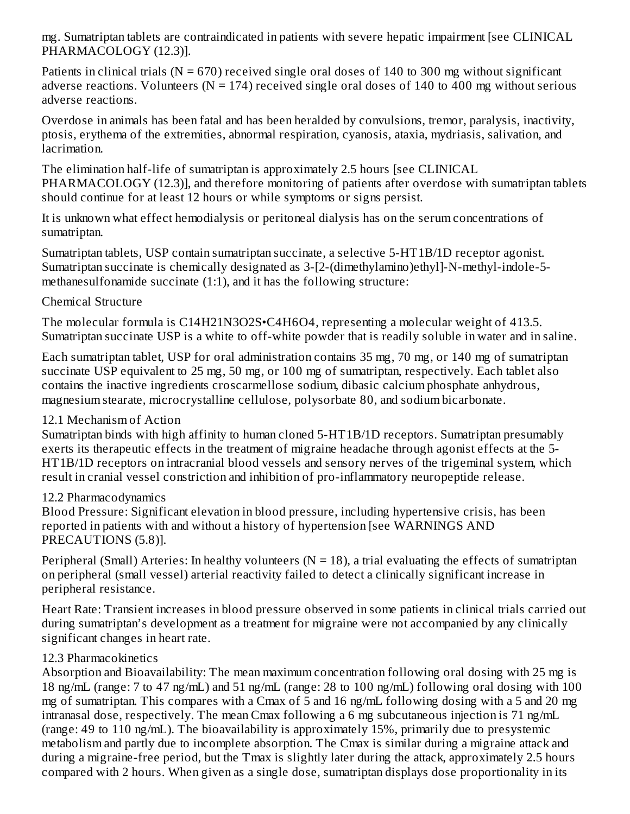mg. Sumatriptan tablets are contraindicated in patients with severe hepatic impairment [see CLINICAL PHARMACOLOGY (12.3)].

Patients in clinical trials ( $N = 670$ ) received single oral doses of 140 to 300 mg without significant adverse reactions. Volunteers ( $N = 174$ ) received single oral doses of 140 to 400 mg without serious adverse reactions.

Overdose in animals has been fatal and has been heralded by convulsions, tremor, paralysis, inactivity, ptosis, erythema of the extremities, abnormal respiration, cyanosis, ataxia, mydriasis, salivation, and lacrimation.

The elimination half-life of sumatriptan is approximately 2.5 hours [see CLINICAL PHARMACOLOGY (12.3)], and therefore monitoring of patients after overdose with sumatriptan tablets should continue for at least 12 hours or while symptoms or signs persist.

It is unknown what effect hemodialysis or peritoneal dialysis has on the serum concentrations of sumatriptan.

Sumatriptan tablets, USP contain sumatriptan succinate, a selective 5-HT1B/1D receptor agonist. Sumatriptan succinate is chemically designated as 3-[2-(dimethylamino)ethyl]-N-methyl-indole-5 methanesulfonamide succinate (1:1), and it has the following structure:

### Chemical Structure

The molecular formula is C14H21N3O2S•C4H6O4, representing a molecular weight of 413.5. Sumatriptan succinate USP is a white to off-white powder that is readily soluble in water and in saline.

Each sumatriptan tablet, USP for oral administration contains 35 mg, 70 mg, or 140 mg of sumatriptan succinate USP equivalent to 25 mg, 50 mg, or 100 mg of sumatriptan, respectively. Each tablet also contains the inactive ingredients croscarmellose sodium, dibasic calcium phosphate anhydrous, magnesium stearate, microcrystalline cellulose, polysorbate 80, and sodium bicarbonate.

## 12.1 Mechanism of Action

Sumatriptan binds with high affinity to human cloned 5-HT1B/1D receptors. Sumatriptan presumably exerts its therapeutic effects in the treatment of migraine headache through agonist effects at the 5- HT1B/1D receptors on intracranial blood vessels and sensory nerves of the trigeminal system, which result in cranial vessel constriction and inhibition of pro-inflammatory neuropeptide release.

### 12.2 Pharmacodynamics

Blood Pressure: Significant elevation in blood pressure, including hypertensive crisis, has been reported in patients with and without a history of hypertension [see WARNINGS AND PRECAUTIONS (5.8)].

Peripheral (Small) Arteries: In healthy volunteers ( $N = 18$ ), a trial evaluating the effects of sumatriptan on peripheral (small vessel) arterial reactivity failed to detect a clinically significant increase in peripheral resistance.

Heart Rate: Transient increases in blood pressure observed in some patients in clinical trials carried out during sumatriptan's development as a treatment for migraine were not accompanied by any clinically significant changes in heart rate.

### 12.3 Pharmacokinetics

Absorption and Bioavailability: The mean maximum concentration following oral dosing with 25 mg is 18 ng/mL (range: 7 to 47 ng/mL) and 51 ng/mL (range: 28 to 100 ng/mL) following oral dosing with 100 mg of sumatriptan. This compares with a Cmax of 5 and 16 ng/mL following dosing with a 5 and 20 mg intranasal dose, respectively. The mean Cmax following a 6 mg subcutaneous injection is 71 ng/mL (range: 49 to 110 ng/mL). The bioavailability is approximately 15%, primarily due to presystemic metabolism and partly due to incomplete absorption. The Cmax is similar during a migraine attack and during a migraine-free period, but the Tmax is slightly later during the attack, approximately 2.5 hours compared with 2 hours. When given as a single dose, sumatriptan displays dose proportionality in its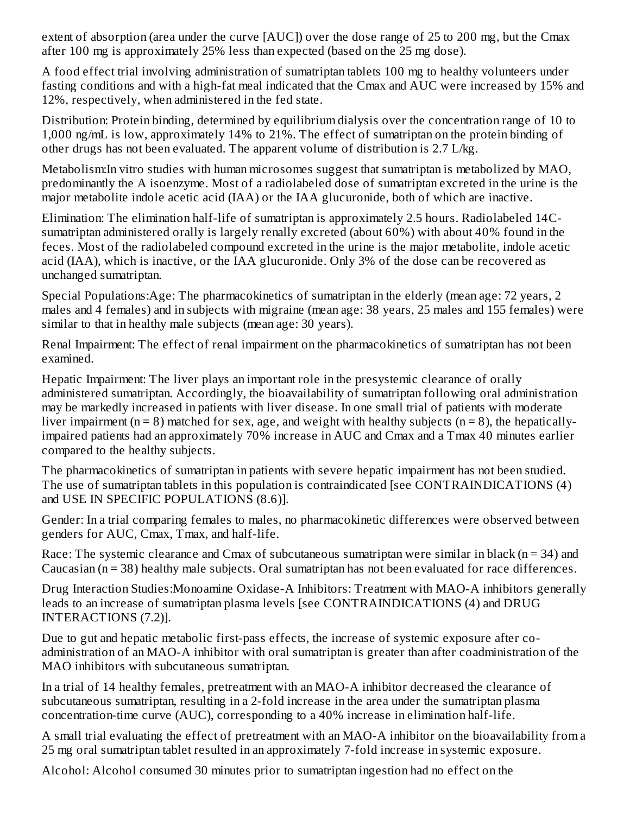extent of absorption (area under the curve [AUC]) over the dose range of 25 to 200 mg, but the Cmax after 100 mg is approximately 25% less than expected (based on the 25 mg dose).

A food effect trial involving administration of sumatriptan tablets 100 mg to healthy volunteers under fasting conditions and with a high-fat meal indicated that the Cmax and AUC were increased by 15% and 12%, respectively, when administered in the fed state.

Distribution: Protein binding, determined by equilibrium dialysis over the concentration range of 10 to 1,000 ng/mL is low, approximately 14% to 21%. The effect of sumatriptan on the protein binding of other drugs has not been evaluated. The apparent volume of distribution is 2.7 L/kg.

Metabolism:In vitro studies with human microsomes suggest that sumatriptan is metabolized by MAO, predominantly the A isoenzyme. Most of a radiolabeled dose of sumatriptan excreted in the urine is the major metabolite indole acetic acid (IAA) or the IAA glucuronide, both of which are inactive.

Elimination: The elimination half-life of sumatriptan is approximately 2.5 hours. Radiolabeled 14Csumatriptan administered orally is largely renally excreted (about 60%) with about 40% found in the feces. Most of the radiolabeled compound excreted in the urine is the major metabolite, indole acetic acid (IAA), which is inactive, or the IAA glucuronide. Only 3% of the dose can be recovered as unchanged sumatriptan.

Special Populations:Age: The pharmacokinetics of sumatriptan in the elderly (mean age: 72 years, 2 males and 4 females) and in subjects with migraine (mean age: 38 years, 25 males and 155 females) were similar to that in healthy male subjects (mean age: 30 years).

Renal Impairment: The effect of renal impairment on the pharmacokinetics of sumatriptan has not been examined.

Hepatic Impairment: The liver plays an important role in the presystemic clearance of orally administered sumatriptan. Accordingly, the bioavailability of sumatriptan following oral administration may be markedly increased in patients with liver disease. In one small trial of patients with moderate liver impairment ( $n = 8$ ) matched for sex, age, and weight with healthy subjects ( $n = 8$ ), the hepaticallyimpaired patients had an approximately 70% increase in AUC and Cmax and a Tmax 40 minutes earlier compared to the healthy subjects.

The pharmacokinetics of sumatriptan in patients with severe hepatic impairment has not been studied. The use of sumatriptan tablets in this population is contraindicated [see CONTRAINDICATIONS (4) and USE IN SPECIFIC POPULATIONS (8.6)].

Gender: In a trial comparing females to males, no pharmacokinetic differences were observed between genders for AUC, Cmax, Tmax, and half-life.

Race: The systemic clearance and Cmax of subcutaneous sumatriptan were similar in black ( $n = 34$ ) and Caucasian (n = 38) healthy male subjects. Oral sumatriptan has not been evaluated for race differences.

Drug Interaction Studies:Monoamine Oxidase-A Inhibitors: Treatment with MAO-A inhibitors generally leads to an increase of sumatriptan plasma levels [see CONTRAINDICATIONS (4) and DRUG INTERACTIONS (7.2)].

Due to gut and hepatic metabolic first-pass effects, the increase of systemic exposure after coadministration of an MAO-A inhibitor with oral sumatriptan is greater than after coadministration of the MAO inhibitors with subcutaneous sumatriptan.

In a trial of 14 healthy females, pretreatment with an MAO-A inhibitor decreased the clearance of subcutaneous sumatriptan, resulting in a 2-fold increase in the area under the sumatriptan plasma concentration-time curve (AUC), corresponding to a 40% increase in elimination half-life.

A small trial evaluating the effect of pretreatment with an MAO-A inhibitor on the bioavailability from a 25 mg oral sumatriptan tablet resulted in an approximately 7-fold increase in systemic exposure.

Alcohol: Alcohol consumed 30 minutes prior to sumatriptan ingestion had no effect on the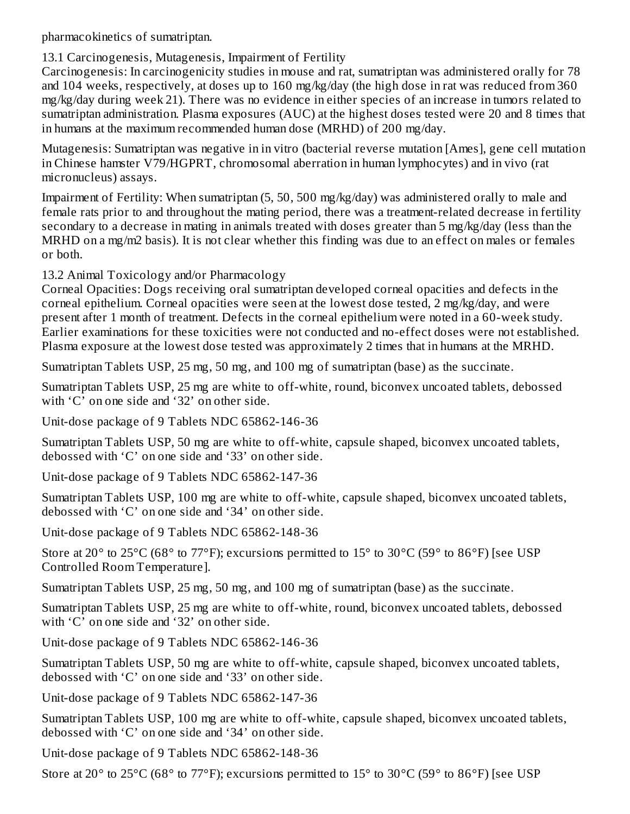pharmacokinetics of sumatriptan.

## 13.1 Carcinogenesis, Mutagenesis, Impairment of Fertility

Carcinogenesis: In carcinogenicity studies in mouse and rat, sumatriptan was administered orally for 78 and 104 weeks, respectively, at doses up to 160 mg/kg/day (the high dose in rat was reduced from 360 mg/kg/day during week 21). There was no evidence in either species of an increase in tumors related to sumatriptan administration. Plasma exposures (AUC) at the highest doses tested were 20 and 8 times that in humans at the maximum recommended human dose (MRHD) of 200 mg/day.

Mutagenesis: Sumatriptan was negative in in vitro (bacterial reverse mutation [Ames], gene cell mutation in Chinese hamster V79/HGPRT, chromosomal aberration in human lymphocytes) and in vivo (rat micronucleus) assays.

Impairment of Fertility: When sumatriptan (5, 50, 500 mg/kg/day) was administered orally to male and female rats prior to and throughout the mating period, there was a treatment-related decrease in fertility secondary to a decrease in mating in animals treated with doses greater than 5 mg/kg/day (less than the MRHD on a mg/m2 basis). It is not clear whether this finding was due to an effect on males or females or both.

13.2 Animal Toxicology and/or Pharmacology

Corneal Opacities: Dogs receiving oral sumatriptan developed corneal opacities and defects in the corneal epithelium. Corneal opacities were seen at the lowest dose tested, 2 mg/kg/day, and were present after 1 month of treatment. Defects in the corneal epithelium were noted in a 60-week study. Earlier examinations for these toxicities were not conducted and no-effect doses were not established. Plasma exposure at the lowest dose tested was approximately 2 times that in humans at the MRHD.

Sumatriptan Tablets USP, 25 mg, 50 mg, and 100 mg of sumatriptan (base) as the succinate.

Sumatriptan Tablets USP, 25 mg are white to off-white, round, biconvex uncoated tablets, debossed with 'C' on one side and '32' on other side.

Unit-dose package of 9 Tablets NDC 65862-146-36

Sumatriptan Tablets USP, 50 mg are white to off-white, capsule shaped, biconvex uncoated tablets, debossed with 'C' on one side and '33' on other side.

Unit-dose package of 9 Tablets NDC 65862-147-36

Sumatriptan Tablets USP, 100 mg are white to off-white, capsule shaped, biconvex uncoated tablets, debossed with 'C' on one side and '34' on other side.

- Unit-dose package of 9 Tablets NDC 65862-148-36
- Store at 20 $^{\circ}$  to 25 $^{\circ}$ C (68 $^{\circ}$  to 77 $^{\circ}$ F); excursions permitted to 15 $^{\circ}$  to 30 $^{\circ}$ C (59 $^{\circ}$  to 86 $^{\circ}$ F) [see USP Controlled Room Temperature].

Sumatriptan Tablets USP, 25 mg, 50 mg, and 100 mg of sumatriptan (base) as the succinate.

Sumatriptan Tablets USP, 25 mg are white to off-white, round, biconvex uncoated tablets, debossed with 'C' on one side and '32' on other side.

- Unit-dose package of 9 Tablets NDC 65862-146-36
- Sumatriptan Tablets USP, 50 mg are white to off-white, capsule shaped, biconvex uncoated tablets, debossed with 'C' on one side and '33' on other side.
- Unit-dose package of 9 Tablets NDC 65862-147-36

Sumatriptan Tablets USP, 100 mg are white to off-white, capsule shaped, biconvex uncoated tablets, debossed with 'C' on one side and '34' on other side.

Unit-dose package of 9 Tablets NDC 65862-148-36

Store at 20 $^{\circ}$  to 25 $^{\circ}$ C (68 $^{\circ}$  to 77 $^{\circ}$ F); excursions permitted to 15 $^{\circ}$  to 30 $^{\circ}$ C (59 $^{\circ}$  to 86 $^{\circ}$ F) [see USP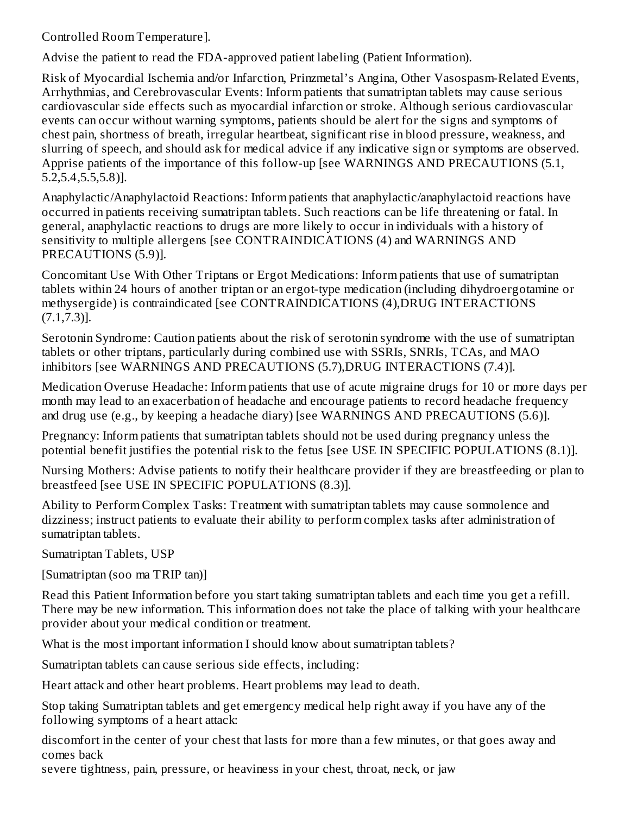Controlled Room Temperature].

Advise the patient to read the FDA-approved patient labeling (Patient Information).

Risk of Myocardial Ischemia and/or Infarction, Prinzmetal's Angina, Other Vasospasm-Related Events, Arrhythmias, and Cerebrovascular Events: Inform patients that sumatriptan tablets may cause serious cardiovascular side effects such as myocardial infarction or stroke. Although serious cardiovascular events can occur without warning symptoms, patients should be alert for the signs and symptoms of chest pain, shortness of breath, irregular heartbeat, significant rise in blood pressure, weakness, and slurring of speech, and should ask for medical advice if any indicative sign or symptoms are observed. Apprise patients of the importance of this follow-up [see WARNINGS AND PRECAUTIONS (5.1, 5.2,5.4,5.5,5.8)].

Anaphylactic/Anaphylactoid Reactions: Inform patients that anaphylactic/anaphylactoid reactions have occurred in patients receiving sumatriptan tablets. Such reactions can be life threatening or fatal. In general, anaphylactic reactions to drugs are more likely to occur in individuals with a history of sensitivity to multiple allergens [see CONTRAINDICATIONS (4) and WARNINGS AND PRECAUTIONS (5.9)].

Concomitant Use With Other Triptans or Ergot Medications: Inform patients that use of sumatriptan tablets within 24 hours of another triptan or an ergot-type medication (including dihydroergotamine or methysergide) is contraindicated [see CONTRAINDICATIONS (4),DRUG INTERACTIONS (7.1,7.3)].

Serotonin Syndrome: Caution patients about the risk of serotonin syndrome with the use of sumatriptan tablets or other triptans, particularly during combined use with SSRIs, SNRIs, TCAs, and MAO inhibitors [see WARNINGS AND PRECAUTIONS (5.7),DRUG INTERACTIONS (7.4)].

Medication Overuse Headache: Inform patients that use of acute migraine drugs for 10 or more days per month may lead to an exacerbation of headache and encourage patients to record headache frequency and drug use (e.g., by keeping a headache diary) [see WARNINGS AND PRECAUTIONS (5.6)].

Pregnancy: Inform patients that sumatriptan tablets should not be used during pregnancy unless the potential benefit justifies the potential risk to the fetus [see USE IN SPECIFIC POPULATIONS (8.1)].

Nursing Mothers: Advise patients to notify their healthcare provider if they are breastfeeding or plan to breastfeed [see USE IN SPECIFIC POPULATIONS (8.3)].

Ability to Perform Complex Tasks: Treatment with sumatriptan tablets may cause somnolence and dizziness; instruct patients to evaluate their ability to perform complex tasks after administration of sumatriptan tablets.

Sumatriptan Tablets, USP

[Sumatriptan (soo ma TRIP tan)]

Read this Patient Information before you start taking sumatriptan tablets and each time you get a refill. There may be new information. This information does not take the place of talking with your healthcare provider about your medical condition or treatment.

What is the most important information I should know about sumatriptan tablets?

Sumatriptan tablets can cause serious side effects, including:

Heart attack and other heart problems. Heart problems may lead to death.

Stop taking Sumatriptan tablets and get emergency medical help right away if you have any of the following symptoms of a heart attack:

discomfort in the center of your chest that lasts for more than a few minutes, or that goes away and comes back

severe tightness, pain, pressure, or heaviness in your chest, throat, neck, or jaw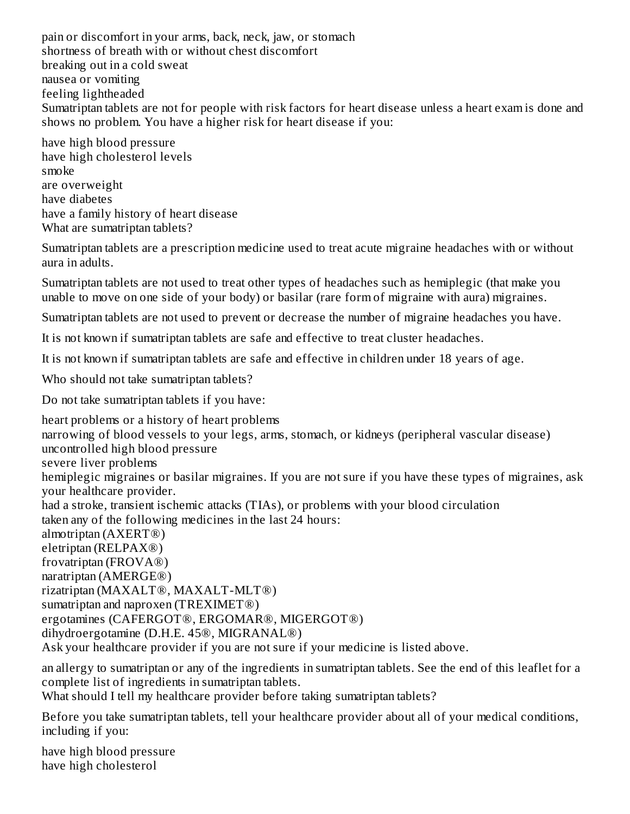pain or discomfort in your arms, back, neck, jaw, or stomach shortness of breath with or without chest discomfort breaking out in a cold sweat nausea or vomiting feeling lightheaded Sumatriptan tablets are not for people with risk factors for heart disease unless a heart exam is done and shows no problem. You have a higher risk for heart disease if you:

have high blood pressure have high cholesterol levels smoke are overweight have diabetes have a family history of heart disease What are sumatriptan tablets?

Sumatriptan tablets are a prescription medicine used to treat acute migraine headaches with or without aura in adults.

Sumatriptan tablets are not used to treat other types of headaches such as hemiplegic (that make you unable to move on one side of your body) or basilar (rare form of migraine with aura) migraines.

Sumatriptan tablets are not used to prevent or decrease the number of migraine headaches you have.

It is not known if sumatriptan tablets are safe and effective to treat cluster headaches.

It is not known if sumatriptan tablets are safe and effective in children under 18 years of age.

Who should not take sumatriptan tablets?

Do not take sumatriptan tablets if you have:

heart problems or a history of heart problems narrowing of blood vessels to your legs, arms, stomach, or kidneys (peripheral vascular disease) uncontrolled high blood pressure severe liver problems hemiplegic migraines or basilar migraines. If you are not sure if you have these types of migraines, ask your healthcare provider. had a stroke, transient ischemic attacks (TIAs), or problems with your blood circulation taken any of the following medicines in the last 24 hours: almotriptan (AXERT®) eletriptan (RELPAX®) frovatriptan (FROVA®) naratriptan (AMERGE®) rizatriptan (MAXALT®, MAXALT-MLT®) sumatriptan and naproxen (TREXIMET®) ergotamines (CAFERGOT®, ERGOMAR®, MIGERGOT®) dihydroergotamine (D.H.E. 45®, MIGRANAL®) Ask your healthcare provider if you are not sure if your medicine is listed above. an allergy to sumatriptan or any of the ingredients in sumatriptan tablets. See the end of this leaflet for a

complete list of ingredients in sumatriptan tablets.

What should I tell my healthcare provider before taking sumatriptan tablets?

Before you take sumatriptan tablets, tell your healthcare provider about all of your medical conditions, including if you:

have high blood pressure have high cholesterol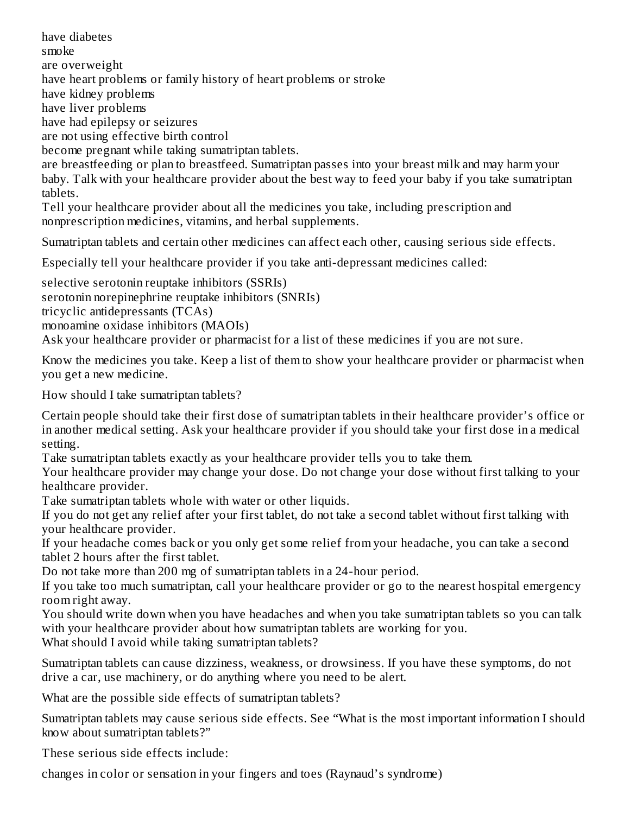have diabetes smoke are overweight have heart problems or family history of heart problems or stroke have kidney problems have liver problems have had epilepsy or seizures are not using effective birth control become pregnant while taking sumatriptan tablets. are breastfeeding or plan to breastfeed. Sumatriptan passes into your breast milk and may harm your baby. Talk with your healthcare provider about the best way to feed your baby if you take sumatriptan tablets. Tell your healthcare provider about all the medicines you take, including prescription and nonprescription medicines, vitamins, and herbal supplements.

Sumatriptan tablets and certain other medicines can affect each other, causing serious side effects.

Especially tell your healthcare provider if you take anti-depressant medicines called:

selective serotonin reuptake inhibitors (SSRIs) serotonin norepinephrine reuptake inhibitors (SNRIs) tricyclic antidepressants (TCAs) monoamine oxidase inhibitors (MAOIs) Ask your healthcare provider or pharmacist for a list of these medicines if you are not sure.

Know the medicines you take. Keep a list of them to show your healthcare provider or pharmacist when you get a new medicine.

How should I take sumatriptan tablets?

Certain people should take their first dose of sumatriptan tablets in their healthcare provider's office or in another medical setting. Ask your healthcare provider if you should take your first dose in a medical setting.

Take sumatriptan tablets exactly as your healthcare provider tells you to take them.

Your healthcare provider may change your dose. Do not change your dose without first talking to your healthcare provider.

Take sumatriptan tablets whole with water or other liquids.

If you do not get any relief after your first tablet, do not take a second tablet without first talking with your healthcare provider.

If your headache comes back or you only get some relief from your headache, you can take a second tablet 2 hours after the first tablet.

Do not take more than 200 mg of sumatriptan tablets in a 24-hour period.

If you take too much sumatriptan, call your healthcare provider or go to the nearest hospital emergency room right away.

You should write down when you have headaches and when you take sumatriptan tablets so you can talk with your healthcare provider about how sumatriptan tablets are working for you.

What should I avoid while taking sumatriptan tablets?

Sumatriptan tablets can cause dizziness, weakness, or drowsiness. If you have these symptoms, do not drive a car, use machinery, or do anything where you need to be alert.

What are the possible side effects of sumatriptan tablets?

Sumatriptan tablets may cause serious side effects. See "What is the most important information I should know about sumatriptan tablets?"

These serious side effects include:

changes in color or sensation in your fingers and toes (Raynaud's syndrome)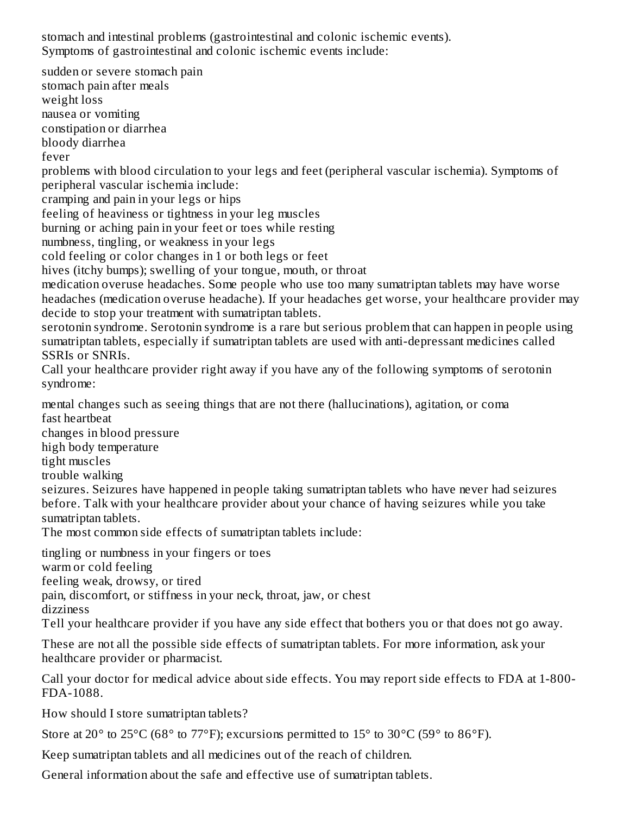stomach and intestinal problems (gastrointestinal and colonic ischemic events). Symptoms of gastrointestinal and colonic ischemic events include:

sudden or severe stomach pain stomach pain after meals weight loss nausea or vomiting constipation or diarrhea bloody diarrhea fever problems with blood circulation to your legs and feet (peripheral vascular ischemia). Symptoms of peripheral vascular ischemia include: cramping and pain in your legs or hips feeling of heaviness or tightness in your leg muscles burning or aching pain in your feet or toes while resting numbness, tingling, or weakness in your legs cold feeling or color changes in 1 or both legs or feet hives (itchy bumps); swelling of your tongue, mouth, or throat medication overuse headaches. Some people who use too many sumatriptan tablets may have worse headaches (medication overuse headache). If your headaches get worse, your healthcare provider may decide to stop your treatment with sumatriptan tablets. serotonin syndrome. Serotonin syndrome is a rare but serious problem that can happen in people using sumatriptan tablets, especially if sumatriptan tablets are used with anti-depressant medicines called SSRIs or SNRIs. Call your healthcare provider right away if you have any of the following symptoms of serotonin syndrome: mental changes such as seeing things that are not there (hallucinations), agitation, or coma fast heartbeat changes in blood pressure high body temperature tight muscles trouble walking seizures. Seizures have happened in people taking sumatriptan tablets who have never had seizures before. Talk with your healthcare provider about your chance of having seizures while you take sumatriptan tablets. The most common side effects of sumatriptan tablets include: tingling or numbness in your fingers or toes warm or cold feeling feeling weak, drowsy, or tired pain, discomfort, or stiffness in your neck, throat, jaw, or chest

dizziness

Tell your healthcare provider if you have any side effect that bothers you or that does not go away.

These are not all the possible side effects of sumatriptan tablets. For more information, ask your healthcare provider or pharmacist.

Call your doctor for medical advice about side effects. You may report side effects to FDA at 1-800- FDA-1088.

How should I store sumatriptan tablets?

Store at 20 $\degree$  to 25 $\degree$ C (68 $\degree$  to 77 $\degree$ F); excursions permitted to 15 $\degree$  to 30 $\degree$ C (59 $\degree$  to 86 $\degree$ F).

Keep sumatriptan tablets and all medicines out of the reach of children.

General information about the safe and effective use of sumatriptan tablets.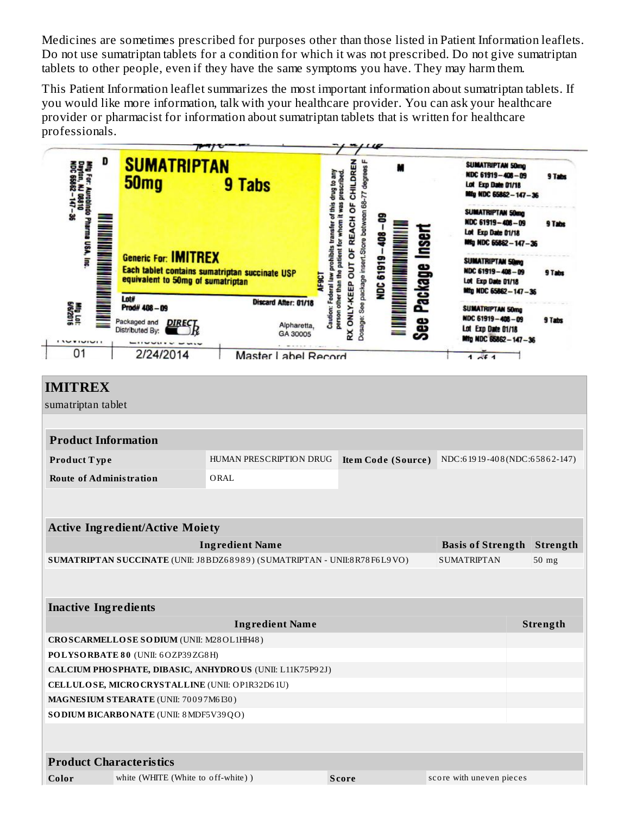Medicines are sometimes prescribed for purposes other than those listed in Patient Information leaflets. Do not use sumatriptan tablets for a condition for which it was not prescribed. Do not give sumatriptan tablets to other people, even if they have the same symptoms you have. They may harm them.

This Patient Information leaflet summarizes the most important information about sumatriptan tablets. If you would like more information, talk with your healthcare provider. You can ask your healthcare provider or pharmacist for information about sumatriptan tablets that is written for healthcare professionals.

| D<br>Mig For: Aunobindo Pharma USA, inc<br>Dayton, NJ 08810<br>NDC 65862 - 147 - 36<br>Mig Lot:<br>GV6/2016<br>unun | <b>SUMATRIPTAN</b><br>50 <sub>mg</sub><br><b>Generic For: IMITREX</b><br>equivalent to 50mg of sumatriptan<br>Lot#<br>Prod# 408-09<br>Packaged and <b>DIREC</b><br>Distributed By: | 9 Tabs<br>Each tablet contains sumatriptan succinate USP<br><b>AF9CT</b><br>Discard After: 01/18<br>Alpharetta,<br>GA 30005 | OF REACH OF CHILDREN<br>Dosage: See package insert.Store between 68-77 degrees<br>Caution: Federal law prohibits transfer of this drug to any<br>prescribed<br>person other than the patient for whom it was<br>RX ONLY-KEEP OUT | See Package Inseri<br><b>NDC 61919</b> | SUMATRIPTAN 50mg<br>NDC 61919-408-09<br>Lot Exp Date 01/18<br>Mig NDC 65862-147-36<br>SUMATRIPTAN 50mg<br>NDC 61919-406-09<br>Lot Exp Date 01/18<br>Mig NDC 65662-147-36<br>SUMATRIPTAN 50mg<br>NDC 61919-408-09<br>Lot Exp Date 01/18<br>Mtg NDC 65862-147-36<br>SUMATRIPTAN 50mg<br>NDC 61919-408-09<br>Lot Exp Date 01/18<br>Mfg NDC 65862-147-36 | 9 Tabs<br>9 Tabs<br>9 Tabs<br>9 Tabs |
|---------------------------------------------------------------------------------------------------------------------|------------------------------------------------------------------------------------------------------------------------------------------------------------------------------------|-----------------------------------------------------------------------------------------------------------------------------|----------------------------------------------------------------------------------------------------------------------------------------------------------------------------------------------------------------------------------|----------------------------------------|------------------------------------------------------------------------------------------------------------------------------------------------------------------------------------------------------------------------------------------------------------------------------------------------------------------------------------------------------|--------------------------------------|
| 01                                                                                                                  | 2/24/2014                                                                                                                                                                          | Master Label Record                                                                                                         |                                                                                                                                                                                                                                  |                                        | 1 <sub>0</sub> f <sub>1</sub>                                                                                                                                                                                                                                                                                                                        |                                      |
| <b>IMITREX</b><br>sumatriptan tablet<br><b>Product Information</b>                                                  |                                                                                                                                                                                    |                                                                                                                             |                                                                                                                                                                                                                                  |                                        |                                                                                                                                                                                                                                                                                                                                                      |                                      |
| Product Type                                                                                                        |                                                                                                                                                                                    | HUMAN PRESCRIPTION DRUG                                                                                                     |                                                                                                                                                                                                                                  | Item Code (Source)                     | NDC:61919-408(NDC:65862-147)                                                                                                                                                                                                                                                                                                                         |                                      |
| <b>Route of Administration</b>                                                                                      |                                                                                                                                                                                    | ORAL                                                                                                                        |                                                                                                                                                                                                                                  |                                        |                                                                                                                                                                                                                                                                                                                                                      |                                      |
|                                                                                                                     |                                                                                                                                                                                    |                                                                                                                             |                                                                                                                                                                                                                                  |                                        |                                                                                                                                                                                                                                                                                                                                                      |                                      |
| <b>Active Ingredient/Active Moiety</b><br><b>Ingredient Name</b><br><b>Basis of Strength</b>                        |                                                                                                                                                                                    |                                                                                                                             |                                                                                                                                                                                                                                  |                                        |                                                                                                                                                                                                                                                                                                                                                      |                                      |
|                                                                                                                     |                                                                                                                                                                                    | SUMATRIPTAN SUCCINATE (UNII: J8BDZ68989) (SUMATRIPTAN - UNII:8R78F6L9VO)                                                    | <b>SUMATRIPTAN</b>                                                                                                                                                                                                               | Strength<br>$50$ mg                    |                                                                                                                                                                                                                                                                                                                                                      |                                      |
| <b>Inactive Ingredients</b>                                                                                         |                                                                                                                                                                                    |                                                                                                                             |                                                                                                                                                                                                                                  |                                        |                                                                                                                                                                                                                                                                                                                                                      |                                      |
| <b>Ingredient Name</b>                                                                                              |                                                                                                                                                                                    |                                                                                                                             |                                                                                                                                                                                                                                  |                                        |                                                                                                                                                                                                                                                                                                                                                      | Strength                             |
| CROSCARMELLOSE SODIUM (UNII: M28OL1HH48)                                                                            |                                                                                                                                                                                    |                                                                                                                             |                                                                                                                                                                                                                                  |                                        |                                                                                                                                                                                                                                                                                                                                                      |                                      |
| POLYSORBATE 80 (UNII: 6OZP39ZG8H)                                                                                   |                                                                                                                                                                                    |                                                                                                                             |                                                                                                                                                                                                                                  |                                        |                                                                                                                                                                                                                                                                                                                                                      |                                      |
| CALCIUM PHO SPHATE, DIBASIC, ANHYDROUS (UNII: L11K75P92J)                                                           |                                                                                                                                                                                    |                                                                                                                             |                                                                                                                                                                                                                                  |                                        |                                                                                                                                                                                                                                                                                                                                                      |                                      |
| CELLULOSE, MICRO CRYSTALLINE (UNII: OP1R32D61U)                                                                     |                                                                                                                                                                                    |                                                                                                                             |                                                                                                                                                                                                                                  |                                        |                                                                                                                                                                                                                                                                                                                                                      |                                      |
| MAGNESIUM STEARATE (UNII: 70097M6I30)<br>SO DIUM BICARBONATE (UNII: 8 MDF5V39QO)                                    |                                                                                                                                                                                    |                                                                                                                             |                                                                                                                                                                                                                                  |                                        |                                                                                                                                                                                                                                                                                                                                                      |                                      |
|                                                                                                                     |                                                                                                                                                                                    |                                                                                                                             |                                                                                                                                                                                                                                  |                                        |                                                                                                                                                                                                                                                                                                                                                      |                                      |
| <b>Product Characteristics</b>                                                                                      |                                                                                                                                                                                    |                                                                                                                             |                                                                                                                                                                                                                                  |                                        |                                                                                                                                                                                                                                                                                                                                                      |                                      |
| Color                                                                                                               | white (WHITE (White to off-white))                                                                                                                                                 |                                                                                                                             | <b>Score</b>                                                                                                                                                                                                                     |                                        | score with uneven pieces                                                                                                                                                                                                                                                                                                                             |                                      |